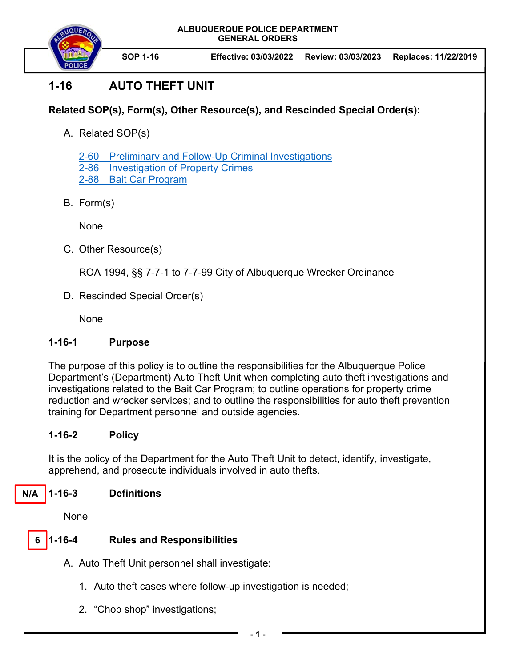**ALBUQUERQUE POLICE DEPARTMENT GENERAL ORDERS** 



**SOP 1-16 Effective: 03/03/2022 Review: 03/03/2023 Replaces: 11/22/2019**

# **1-16 AUTO THEFT UNIT**

## **Related SOP(s), Form(s), Other Resource(s), and Rescinded Special Order(s):**

A. Related SOP(s)

2-60 Preliminary and Follow-Up Criminal Investigations 2-86 Investigation of Property Crimes 2-88 Bait Car Program

B. Form(s)

None

C. Other Resource(s)

ROA 1994, §§ 7-7-1 to 7-7-99 City of Albuquerque Wrecker Ordinance

D. Rescinded Special Order(s)

None

### **1-16-1 Purpose**

The purpose of this policy is to outline the responsibilities for the Albuquerque Police Department's (Department) Auto Theft Unit when completing auto theft investigations and investigations related to the Bait Car Program; to outline operations for property crime reduction and wrecker services; and to outline the responsibilities for auto theft prevention training for Department personnel and outside agencies.

# **1-16-2 Policy**

It is the policy of the Department for the Auto Theft Unit to detect, identify, investigate, apprehend, and prosecute individuals involved in auto thefts.

**1-16-3 Definitions N/A** 

None

#### **Rules and Responsibilities 6**

- A. Auto Theft Unit personnel shall investigate:
	- 1. Auto theft cases where follow-up investigation is needed;
	- 2. "Chop shop" investigations;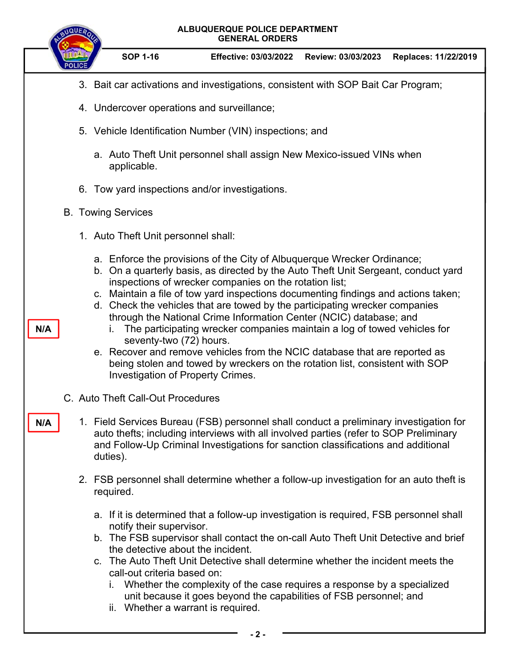